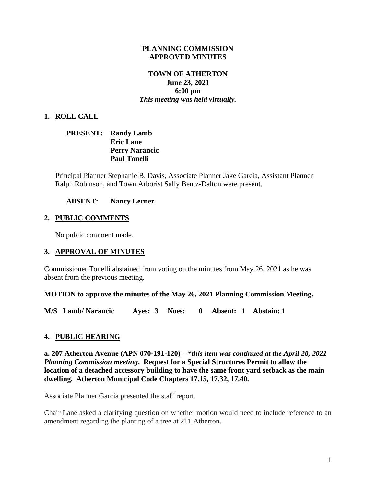#### **PLANNING COMMISSION APPROVED MINUTES**

## **TOWN OF ATHERTON June 23, 2021 6:00 pm** *This meeting was held virtually.*

## **1. ROLL CALL**

| <b>PRESENT:</b> Randy Lamb |
|----------------------------|
| <b>Eric Lane</b>           |
| <b>Perry Narancic</b>      |
| <b>Paul Tonelli</b>        |

Principal Planner Stephanie B. Davis, Associate Planner Jake Garcia, Assistant Planner Ralph Robinson, and Town Arborist Sally Bentz-Dalton were present.

**ABSENT: Nancy Lerner**

## **2. PUBLIC COMMENTS**

No public comment made.

#### **3. APPROVAL OF MINUTES**

Commissioner Tonelli abstained from voting on the minutes from May 26, 2021 as he was absent from the previous meeting.

#### **MOTION to approve the minutes of the May 26, 2021 Planning Commission Meeting.**

**M/S Lamb/ Narancic Ayes: 3 Noes: 0 Absent: 1 Abstain: 1**

#### **4. PUBLIC HEARING**

**a. 207 Atherton Avenue (APN 070-191-120) –** *\*this item was continued at the April 28, 2021 Planning Commission meeting***. Request for a Special Structures Permit to allow the location of a detached accessory building to have the same front yard setback as the main dwelling. Atherton Municipal Code Chapters 17.15, 17.32, 17.40.**

Associate Planner Garcia presented the staff report.

Chair Lane asked a clarifying question on whether motion would need to include reference to an amendment regarding the planting of a tree at 211 Atherton.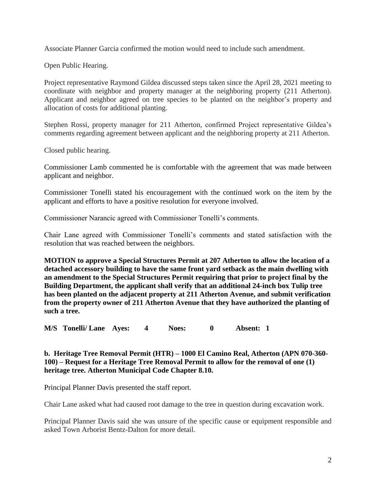Associate Planner Garcia confirmed the motion would need to include such amendment.

Open Public Hearing.

Project representative Raymond Gildea discussed steps taken since the April 28, 2021 meeting to coordinate with neighbor and property manager at the neighboring property (211 Atherton). Applicant and neighbor agreed on tree species to be planted on the neighbor's property and allocation of costs for additional planting.

Stephen Rossi, property manager for 211 Atherton, confirmed Project representative Gildea's comments regarding agreement between applicant and the neighboring property at 211 Atherton.

Closed public hearing.

Commissioner Lamb commented he is comfortable with the agreement that was made between applicant and neighbor.

Commissioner Tonelli stated his encouragement with the continued work on the item by the applicant and efforts to have a positive resolution for everyone involved.

Commissioner Narancic agreed with Commissioner Tonelli's comments.

Chair Lane agreed with Commissioner Tonelli's comments and stated satisfaction with the resolution that was reached between the neighbors.

**MOTION to approve a Special Structures Permit at 207 Atherton to allow the location of a detached accessory building to have the same front yard setback as the main dwelling with an amendment to the Special Structures Permit requiring that prior to project final by the Building Department, the applicant shall verify that an additional 24-inch box Tulip tree has been planted on the adjacent property at 211 Atherton Avenue, and submit verification from the property owner of 211 Atherton Avenue that they have authorized the planting of such a tree.**

**M/S Tonelli/ Lane Ayes: 4 Noes: 0 Absent: 1** 

**b. Heritage Tree Removal Permit (HTR) – 1000 El Camino Real, Atherton (APN 070-360- 100) – Request for a Heritage Tree Removal Permit to allow for the removal of one (1) heritage tree. Atherton Municipal Code Chapter 8.10.**

Principal Planner Davis presented the staff report.

Chair Lane asked what had caused root damage to the tree in question during excavation work.

Principal Planner Davis said she was unsure of the specific cause or equipment responsible and asked Town Arborist Bentz-Dalton for more detail.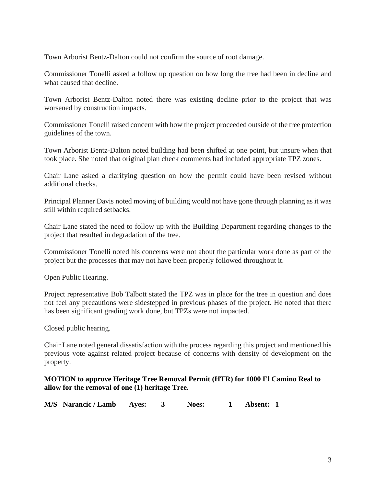Town Arborist Bentz-Dalton could not confirm the source of root damage.

Commissioner Tonelli asked a follow up question on how long the tree had been in decline and what caused that decline.

Town Arborist Bentz-Dalton noted there was existing decline prior to the project that was worsened by construction impacts.

Commissioner Tonelli raised concern with how the project proceeded outside of the tree protection guidelines of the town.

Town Arborist Bentz-Dalton noted building had been shifted at one point, but unsure when that took place. She noted that original plan check comments had included appropriate TPZ zones.

Chair Lane asked a clarifying question on how the permit could have been revised without additional checks.

Principal Planner Davis noted moving of building would not have gone through planning as it was still within required setbacks.

Chair Lane stated the need to follow up with the Building Department regarding changes to the project that resulted in degradation of the tree.

Commissioner Tonelli noted his concerns were not about the particular work done as part of the project but the processes that may not have been properly followed throughout it.

Open Public Hearing.

Project representative Bob Talbott stated the TPZ was in place for the tree in question and does not feel any precautions were sidestepped in previous phases of the project. He noted that there has been significant grading work done, but TPZs were not impacted.

Closed public hearing.

Chair Lane noted general dissatisfaction with the process regarding this project and mentioned his previous vote against related project because of concerns with density of development on the property.

## **MOTION to approve Heritage Tree Removal Permit (HTR) for 1000 El Camino Real to allow for the removal of one (1) heritage Tree.**

**M/S Narancic / Lamb Ayes: 3 Noes: 1 Absent: 1**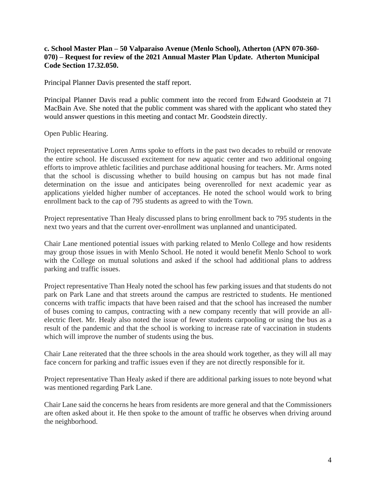## **c. School Master Plan – 50 Valparaiso Avenue (Menlo School), Atherton (APN 070-360- 070) – Request for review of the 2021 Annual Master Plan Update. Atherton Municipal Code Section 17.32.050.**

Principal Planner Davis presented the staff report.

Principal Planner Davis read a public comment into the record from Edward Goodstein at 71 MacBain Ave. She noted that the public comment was shared with the applicant who stated they would answer questions in this meeting and contact Mr. Goodstein directly.

Open Public Hearing.

Project representative Loren Arms spoke to efforts in the past two decades to rebuild or renovate the entire school. He discussed excitement for new aquatic center and two additional ongoing efforts to improve athletic facilities and purchase additional housing for teachers. Mr. Arms noted that the school is discussing whether to build housing on campus but has not made final determination on the issue and anticipates being overenrolled for next academic year as applications yielded higher number of acceptances. He noted the school would work to bring enrollment back to the cap of 795 students as agreed to with the Town.

Project representative Than Healy discussed plans to bring enrollment back to 795 students in the next two years and that the current over-enrollment was unplanned and unanticipated.

Chair Lane mentioned potential issues with parking related to Menlo College and how residents may group those issues in with Menlo School. He noted it would benefit Menlo School to work with the College on mutual solutions and asked if the school had additional plans to address parking and traffic issues.

Project representative Than Healy noted the school has few parking issues and that students do not park on Park Lane and that streets around the campus are restricted to students. He mentioned concerns with traffic impacts that have been raised and that the school has increased the number of buses coming to campus, contracting with a new company recently that will provide an allelectric fleet. Mr. Healy also noted the issue of fewer students carpooling or using the bus as a result of the pandemic and that the school is working to increase rate of vaccination in students which will improve the number of students using the bus.

Chair Lane reiterated that the three schools in the area should work together, as they will all may face concern for parking and traffic issues even if they are not directly responsible for it.

Project representative Than Healy asked if there are additional parking issues to note beyond what was mentioned regarding Park Lane.

Chair Lane said the concerns he hears from residents are more general and that the Commissioners are often asked about it. He then spoke to the amount of traffic he observes when driving around the neighborhood.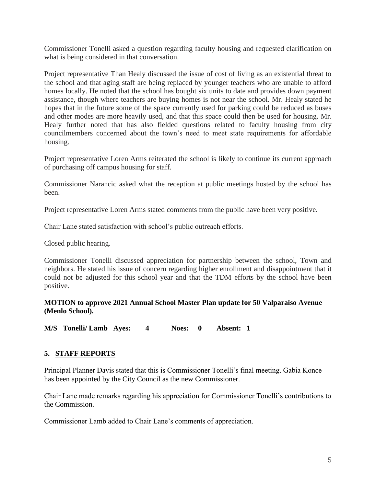Commissioner Tonelli asked a question regarding faculty housing and requested clarification on what is being considered in that conversation.

Project representative Than Healy discussed the issue of cost of living as an existential threat to the school and that aging staff are being replaced by younger teachers who are unable to afford homes locally. He noted that the school has bought six units to date and provides down payment assistance, though where teachers are buying homes is not near the school. Mr. Healy stated he hopes that in the future some of the space currently used for parking could be reduced as buses and other modes are more heavily used, and that this space could then be used for housing. Mr. Healy further noted that has also fielded questions related to faculty housing from city councilmembers concerned about the town's need to meet state requirements for affordable housing.

Project representative Loren Arms reiterated the school is likely to continue its current approach of purchasing off campus housing for staff.

Commissioner Narancic asked what the reception at public meetings hosted by the school has been.

Project representative Loren Arms stated comments from the public have been very positive.

Chair Lane stated satisfaction with school's public outreach efforts.

Closed public hearing.

Commissioner Tonelli discussed appreciation for partnership between the school, Town and neighbors. He stated his issue of concern regarding higher enrollment and disappointment that it could not be adjusted for this school year and that the TDM efforts by the school have been positive.

**MOTION to approve 2021 Annual School Master Plan update for 50 Valparaiso Avenue (Menlo School).**

**M/S Tonelli/ Lamb Ayes: 4 Noes: 0 Absent: 1** 

## **5. STAFF REPORTS**

Principal Planner Davis stated that this is Commissioner Tonelli's final meeting. Gabia Konce has been appointed by the City Council as the new Commissioner.

Chair Lane made remarks regarding his appreciation for Commissioner Tonelli's contributions to the Commission.

Commissioner Lamb added to Chair Lane's comments of appreciation.